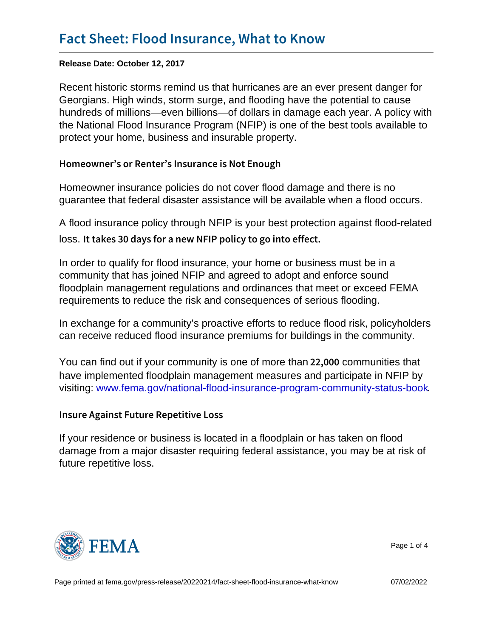Release Date: October 12, 2017

Recent historic storms remind us that hurricanes are an ever present danger for Georgians. High winds, storm surge, and flooding have the potential to cause hundreds of millions—even billions—of dollars in damage each year. A policy with the National Flood Insurance Program (NFIP) is one of the best tools available to protect your home, business and insurable property.

Homeowner s or Renter s Insurance is Not Enough

Homeowner insurance policies do not cover flood damage and there is no guarantee that federal disaster assistance will be available when a flood occurs.

A flood insurance policy through NFIP is your best protection against flood-related loss. It takes 30 days for a new NFIP policy to go into effect

In order to qualify for flood insurance, your home or business must be in a community that has joined NFIP and agreed to adopt and enforce sound floodplain management regulations and ordinances that meet or exceed FEMA requirements to reduce the risk and consequences of serious flooding.

In exchange for a community's proactive efforts to reduce flood risk, policyholders can receive reduced flood insurance premiums for buildings in the community.

You can find out if your community is one of more than  $22$ , 0 $\omega$  fom unities that have implemented floodplain management measures and participate in NFIP by visiting: [www.fema.gov/national-flood-insurance-program-community-status-book](http://www.fema.gov/national-flood-insurance-program-community-status-book).

Insure Against Future Repetitive Loss

If your residence or business is located in a floodplain or has taken on flood damage from a major disaster requiring federal assistance, you may be at risk of future repetitive loss.



Page 1 of 4

Page printed at [fema.gov/press-release/20220214/fact-sheet-flood-insurance-what-know](https://www.fema.gov/press-release/20220214/fact-sheet-flood-insurance-what-know) 07/02/2022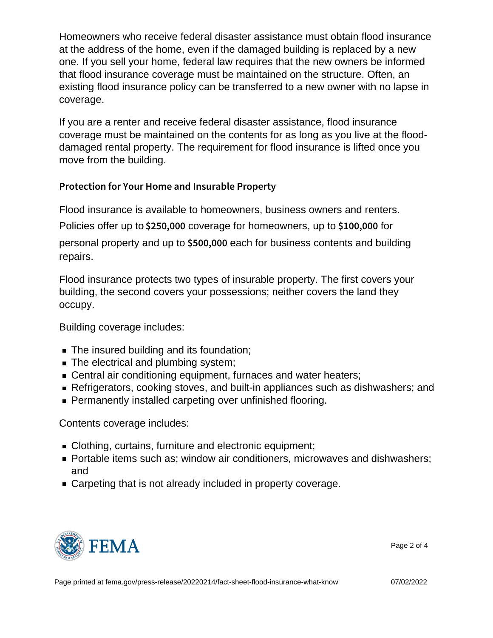Homeowners who receive federal disaster assistance must obtain flood insurance at the address of the home, even if the damaged building is replaced by a new one. If you sell your home, federal law requires that the new owners be informed that flood insurance coverage must be maintained on the structure. Often, an existing flood insurance policy can be transferred to a new owner with no lapse in coverage.

If you are a renter and receive federal disaster assistance, flood insurance coverage must be maintained on the contents for as long as you live at the flooddamaged rental property. The requirement for flood insurance is lifted once you move from the building.

Protection for Your Home and Insurable Property

Flood insurance is available to homeowners, business owners and renters. Policies offer up to  $$250,000$  corrected for homeowners, up to  $$100,000$ personal property and up to  $$500$ ,  $000$  each for business contents and building repairs.

Flood insurance protects two types of insurable property. The first covers your building, the second covers your possessions; neither covers the land they occupy.

Building coverage includes:

- The insured building and its foundation;
- The electrical and plumbing system;
- Central air conditioning equipment, furnaces and water heaters;
- Refrigerators, cooking stoves, and built-in appliances such as dishwashers; and
- **Permanently installed carpeting over unfinished flooring.**

Contents coverage includes:

- Clothing, curtains, furniture and electronic equipment;
- Portable items such as; window air conditioners, microwaves and dishwashers; and
- **Carpeting that is not already included in property coverage.**



Page 2 of 4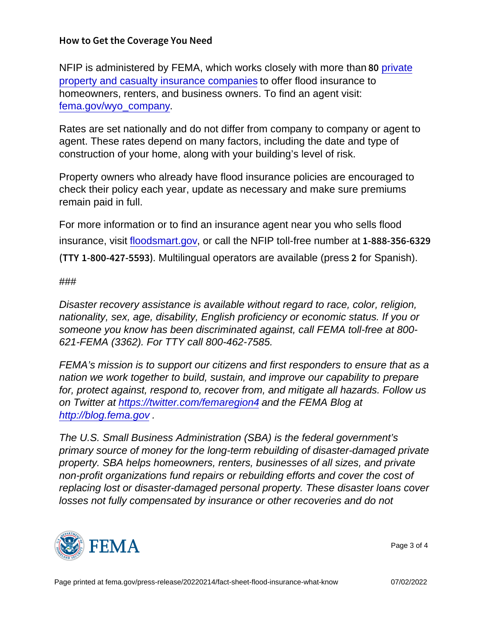How to Get the Coverage You Need

NFIP is administered by FEMA, which works closely with more than  $8\phi$  private [property and casualty insurance companies](http://www.fema.gov/wyo_company) to offer flood insurance to homeowners, renters, and business owners. To find an agent visit: [fema.gov/wyo\\_company.](http://www.fema.gov/wyo_company)

Rates are set nationally and do not differ from company to company or agent to agent. These rates depend on many factors, including the date and type of construction of your home, along with your building's level of risk.

Property owners who already have flood insurance policies are encouraged to check their policy each year, update as necessary and make sure premiums remain paid in full.

For more information or to find an insurance agent near you who sells flood insurance, visit [floodsmart.gov,](http://www.floodsmart.gov) or call the NFIP toll-free number at 1-888-356-6329  $(TTM-800-427.$  Multilingual operators are available (press 2 for Spanish).

## ###

Disaster recovery assistance is available without regard to race, color, religion, nationality, sex, age, disability, English proficiency or economic status. If you or someone you know has been discriminated against, call FEMA toll-free at 800- 621-FEMA (3362). For TTY call 800-462-7585.

FEMA's mission is to support our citizens and first responders to ensure that as a nation we work together to build, sustain, and improve our capability to prepare for, protect against, respond to, recover from, and mitigate all hazards. Follow us on Twitter at [https://twitter.com/femaregion4](https://twitter.com/femaregion4 ) and the FEMA Blog at [http://blog.fema.gov](http://blog.fema.gov/) .

The U.S. Small Business Administration (SBA) is the federal government's primary source of money for the long-term rebuilding of disaster-damaged private property. SBA helps homeowners, renters, businesses of all sizes, and private non-profit organizations fund repairs or rebuilding efforts and cover the cost of replacing lost or disaster-damaged personal property. These disaster loans cover losses not fully compensated by insurance or other recoveries and do not



Page 3 of 4